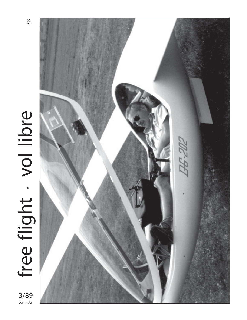

 $3/89$ <br>Jun - Jul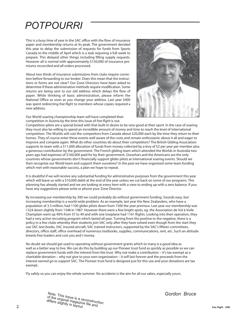## *POTPOURRI*

This is a busy time of year in the SAC office with the flow of insurance paper and membership returns at its peak. The government decided this year to delay the submission of requests for funds from Sports Canada to the middle of April which is a task requiring a full week to prepare. This delayed other things including filling supply requests. However all is normal with approximately \$150,000 of insurance premiums reconciled and all orders processed.

About two thirds of insurance submissions from clubs require correction before forwarding to our broker. Does this mean that the instructions or forms are not clear? Our Zone Directors have been asked to determine if these administrative methods require modification. Some returns are being sent to our old address which delays the flow of paper. While thinking of basic administration, please inform the National Office as soon as you change your address. Last year \$400 was spent redirecting *free flight* to members whose copies required a new address.

Our World soaring championship team will have completed their competition in Austria by the time this issue of *free flight* is out.



Competition pilots are a special breed with that built-in desire to be very good at their sport. In the case of soaring they must also be willing to spend an incredible amount of money and time to reach the level of international competition. The Worlds will cost the competitors from Canada about \$20,000 each by the time they return to their homes. They of course enter these events well aware of the costs and remain enthusiastic about it all and eager to improve and compete again. What do other countries do about their competitors? The British Gliding Association supports its team with a \$11,000 allocation of funds from money collected by a levy of \$2 per year per member plus a generous contribution by the government. The French gliding team which attended the Worlds in Australia two years ago had expenses of \$160,000 paid for by their government. Ourselves and the Americans are the only countries whose governments don't financially support glider pilots at international soaring events. Should we then recognize our World team and support them ourselves? In the past we have organized some team funding which met with reasonable success, a plan we hope to repeat.

It is doubtful if we will receive any substantial funding for administrative purposes from the government this year which will leave us with a \$10,000 debit at the end of the year unless we cut back on some of our programs. This planning has already started and we are looking at every item with a view to ending up with a zero balance. If you have any suggestions please write or phone your Zone Director.

By increasing our membership by 300 we could probably do without government funding. Sounds easy, but increasing membership is a world-wide problem. As an example, last year the New Zealanders, who have a population of 3.5 million, had 1100 glider pilots down from 1500 the year previous. Last year our membership was 1324 down slightly from 1348 in 1987. However there were a few bright spots, eg. the Association de Vol à Voile Champlain went up 40% from 37 to 49 and with one towplane had 1161 flights. Looking into their operation, they had a very active recruiting program which lasted all year. Turning from the positive to the negative, there is a policy in a few clubs whereby their students join SAC only after they have soloed even though from the start they use SAC text books, SAC insured aircraft, SAC trained instructors, supported by the SAC's fifteen committees, directors, office staff, office overhead of numerous textbooks, supplies, communications, rent, etc. Such an attitude breeds free loaders and cost you and I money.

No doubt we should get used to operating without government grants which to many is a good idea as well as a better way to live. We can do this by building up our Pioneer trust fund as quickly as possible so we can replace government funds with the interest from the trust. Why not make a contribution – it's tax exempt as a charitable donation – why not give to your own organization – it will last forever and the proceeds from the interest earned go to support SAC. The Pioneer trust fund is designed just for this use and your donations are tax exempt.

Fly safely so you can enjoy the whole summer. No accidents is the aim for all our sakes, especially yours.

*Gordon Bruce*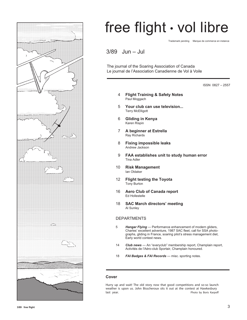

# free flight • vol libre

Trademark pending Marque de commerce en instance

3/89 Jun – Jul

The journal of the Soaring Association of Canada Le journal de l'Association Canadienne de Vol à Voile

ISSN 0827 – 2557

- 4 **Flight Training & Safety Notes** Paul Moggach
- 5 **Your club can use television...** Terry McElligott
- 6 **Gliding in Kenya** Karen Rispin
- 7 **A beginner at Estrella** Ray Richards
- 8 **Fixing impossible leaks** Andrew Jackson
- 9 **FAA establishes unit to study human error** Tina Adler
- 10 **Risk Management** Ian Oldaker
- 12 **Flight testing the Toyota** Tony Burton
- 16 **Aero Club of Canada report** Ed Hollestelle
- 18 **SAC March directors' meeting** Al Sunley

#### DEPARTMENTS

- 5 *Hangar Flying* Performance enhancement of modern gliders, Charles' excellent adventure, 1987 SAC fleet, call for SSA photographs, gliding in France, soaring pilot's stress management diet, Early world contest news.
- 14 *Club news*  An "everyclub" membership report, Champlain report, Activités de l'Aéro-club Sportair, Champlain honoured.
- 18 *FAI Badges & FAI Records* misc. sporting notes.

#### **Cover**

Hurry up and wait! The old story now that good competitions and so-so launch weather is upon us. John Bisscheroux sits it out at the contest at Hawkesbury<br>last year. Photo by Boris Karpof Photo by Boris Karpoff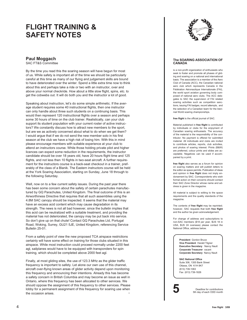### **FLIGHT TRAINING & SAFETY NOTES**

#### **Paul Moggach**

SAC FT&S Committee

By the time you read this the soaring season will have begun for most of us. While safety is important all of the time we should be particularly careful at this time as many of our flying and judgement skills are bound to have deteriorated over the winter. Spend a little extra time now to think about this and perhaps take a ride or two with an instructor, over and above your normal checkride. How about a little slow flight, spins, etc. to get the cobwebs out. It will do both you and the instructor a lot of good.

Speaking about instruction, let's do some simple arithmetic. If the average student requires some 40 instructional flights, then one instructor can only handle about three such students on a continuing basis. This would then represent 120 instructional flights over a season and perhaps some 30 hours of time on the club trainer. Realistically, can your club support its student population with your current roster of active instructors? We constantly discuss how to attract new members to the sport, but are we as actively concerned about what to do when we get them? I would argue that if we do not send the new member solo in his first season at the club we have a high risk of losing him. With this in mind please encourage members with suitable experience at your club to attend an instructors course. While those holding private pilot and higher licences can expect some reduction in the requirements, the instructor candidate should be over 18 years old, have 20 hours flight time and 125 flights, and not less then 10 flights in two-seat aircraft. A further requirement for the instructors course is a back-seat checkout in a trainer, preferably of the class of a Blanik. The Eastern instructors course will be held at the York Soaring Association, starting on Sunday, June 18 through to the following Saturday.

Well, now on to a few current safety issues. During the past year there has been some concern about the safety of certain parachutes manufactured by GQ Parachutes, United Kingdom. The final outcome of this is an Airworthiness Directive that requires that all such assemblies using the 4.8M SAC canopy should be inspected. It seems that the material may have an excess acid content which may cause degradation in its strength. The news is not all bad however, since the bulletin implies that this acid can be neutralized with a suitable treatment, and providing the material has not deteriorated, the canopy may be put back into service. So don't give up on that chute! Contact GQ Parachutes Ltd, Portugal Road, Woking, Surrey, GU21 5JE, United Kingdom, referencing Service Bulletin 25-01.

From a safety point of view the new proposed TCA airspace restrictions certainly will have some effect on training for those clubs situated in this airspace. While most instruction could proceed normally under 2200 feet agl, sailplanes would have to be equipped with transponders for spin training, which should be completed above 2000 feet agl.

Finally, at most gliding sites, the use of 123.3 MHz as the glider traffic frequency is important to safety. Let alone our own use of this channel, aircraft over-flying known areas of glider activity depend upon monitoring this frequency and announcing their intentions. Already this has become a safety concern in British Columbia and may become an issue as well in Ontario, where this frequency has been allocated to other services. We should oppose the assignment of this frequency to other services. Please lobby for a permanent assignment of this frequency for soaring use when the occasion arises. •



#### **The SOARING ASSOCIATION OF CANADA**

is a non-profit organization of enthusiasts who seek to foster and promote all phases of gliding and soaring on a national and international basis. The association is a member of the Aero Club of Canada (ACC), the Canadian national aero club which represents Canada in the Fédération Aéronautique Internationale (FAI), the world sport aviation governing body composed of national aero clubs. The ACC delegates to SAC the supervision of FAI related soaring activities such as competition sanctions, issuing FAI badges, record attempts, and the selection of a Canadian team for the biennial World soaring championships.

**free flight** is the official journal of SAC.

Material published in **free flight** is contributed by individuals or clubs for the enjoyment of Canadian soaring enthusiasts. The accuracy of the material is the responsibility of the contributor. No payment is offered for submitted material. All individuals and clubs are invited to contribute articles, reports, club activities, and photos of soaring interest. Prints (B&W) are preferred, colour prints and slides are acceptable. Negatives can be used if accompanied by a print.

**free flight** also serves as a forum for opinion on soaring matters and will publish letters to the editor as space permits. Publication of ideas and opinion in **free flight** does not imply endorsement by SAC. Correspondents who wish formal action on their concerns should contact their SAC Zone Director whose name and address is given in the magazine.

All material is subject to editing to the space requirements and the quality standards of the magazine.

The contents of **free flight** may be reprinted; however, SAC requests that both **free flight** and the author be given acknowledgement.

For change of address and subscriptions to non-SAC members (\$18 per year, \$US 18 in USA, \$US 24 overseas) please contact the National Office, address below.

> **President** Gordon Bruce **Vice President** Harald Tilgner **Executive Secretary** Nancy Nault **Corporate Treasurer** vacant **Corporate Secretary** Nancy Nault

**SAC National Office** Suite 306, 1355 Bank Street Ottawa, ON K1H 8K7 (613) 739-1063 Fax (613) 739-1826

**5** Deadline for contributions<br>5th day of each ODD month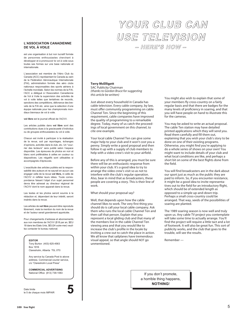#### **L'ASSOCIATION CANADIENNE DE VOL À VOILE**

est une organisation à but non lucratif formée de personnes enthousiastes cherchant à développer et à promouvoir le vol à voile sous toutes ses formes sur une base nationale et internationale.

L'association est membre de l'Aéro Club du Canada (ACC) représentant le Canada au sein de la Fédération Aéronautique Internationale (FAI), administration formée des aéro clubs nationaux responsables des sports aériens à l'échelle mondiale. Selon les normes de la FAI, l'ACC a délégué à l'Association Canadienne de Vol à Voile la supervision des activités de vol à voile telles que tentatives de records, sanctions des compétitions, délivrance des brevets de la FAI etc. ainsi que la sélection d'une équipe nationale pour les championnats mondiaux biennaux de vol à voile.

**vol libre** est le journal officiel de l'ACVV.

Les articles publiés dans **vol libre** sont des contributions dues à la gracieuseté d'individus ou de groupes enthousiastes du vol à voile.

Chacun est invité à participer à la réalisation de la revue, soit par reportages, échanges d'opinions, activités dans le club, etc. Un "courrier des lecteurs" sera publié selon l'espace disponible. Les épreuves de photos en noir et blanc sont préférables à celles en couleur ou diapositives. Les négatifs sont utilisables si accompagnés d'épreuves.

L'exactitude des articles publiés est la responsabilité des auteurs et ne saurait en aucun cas engager celle de la revue **vol libre,** ni celle de l'ACVV ni refléter leurs idées. Toute correspondance faisant l'objet d'un sujet personnel devra être adressé au directeur régional de l'ACVV dont le nom apparait dans la revue.

Les textes et les photos seront soumis à la rédaction et, dépendant de leur intérêt, seront insérés dans la revue.

Les articles de **vol libre** peuvent être reproduits librement, mais la mention du nom de la revue et de l'auteur serait grandement appréciée.

Pour changements d'adresse et abonnements aux non membres de l'ACVV (\$18 par an, \$EU 18 dans les Etats Unis, \$EU24 outre-mer) veuillez contacter le bureau national.

#### **EDITOR**

Tony Burton (403) 625-4563 Box 1916 Claresholm, Alberta T0L 0T0

Any service by Canada Post to above address. Commercial courier service, c/o "Claresholm Local Press"

**COMMERCIAL ADVERTISING**<br>National Office (613) 739-1063

Date limite le 5 de chaque mois IMPAIR **5**



### YOUR CLUB CAN YOUR CLUB CAN USE TELEVISION USE TELEVISION – HERE'S HOW – – HERE'S HOW –

#### **Terry McElligott**

SAC Publicity Chairman *(thanks to Gordon Bruce for suggesting this article be written)*

Just about every household in Canada has cable television. Every cable company, by law, must offer community programming on cable Channel Ten. Since the beginning of this requirement, cable companies have improved the quality of programming to a remarkable degree. Today, many of us catch the proceedings of local government on this channel, to cite one example.

Your local cable Channel Ten can give some major help to your club and it won't cost you a penny. Simply write a good proposal and then follow it up with a supply of club members to help with a video crew's visit to your airfield.

Before any of this is arranged, you must be sure there will be an enthusiastic response from within your club. It's a good idea to try to arrange the video crew's visit so as not to interfere with the club's regular operation. Also, bear in mind that as broadcasters, these people are covering a story. This is their line of work.

What should your proposal say?

Well, that depends upon how the cable channel likes to work. The very first thing you should do is call your local cable company. Ask them who runs the local cable Channel Ten and then call that person. Explain that you represent a local gliding club and that many of the members live in the cable Channel Ten viewing area and that you would like to increase the club's profile in the locale by inviting a crew out to catch the place in action. We all know that sailplanes have tremendous visual appeal, so that angle should NOT go unmentioned.

You might also wish to explain that some of your members fly cross-country on a fairly regular basis and that there are badges for the many levels of proficiency in soaring, and that you will have people on hand to illustrate this for the cameras.

You may be asked to write an actual proposal. The cable Ten station may have detailed printed applications which they will send you. Read them carefully and fill them out, explaining that you wish your club's story to be done on one of their existing programs. Otherwise, you might find you're applying to do a whole series of shows on your own! You might want to include details of your club and what local conditions are like, and perhaps a short bit on some of the best flights done from the field.

You will find broadcasters are in the dark about our sport just as much as the public they are paid to inform. So, if you encounter resistance, it might be a good idea to invite representatives out to the field for an introductory flight, which should be of extended length as opposed to a simple up-and-down trip. Perhaps a small cross-country could be arranged. That way, seeds of the possibilities of soaring are planted.

The 1989 soaring season is now well and truly upon us. Any cable TV project you contemplate will take some time to actually arrange. You'll find the project will require a little tact and a lot of footwork. It will also be great fun. This sort of publicity works, and the club that goes to the trouble, will see the results.

Remember —

If you don't promote, a horrible thing happens, **NOTHING**!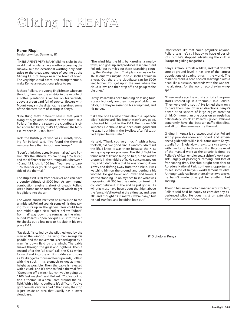## Gliding in KENYA

#### **Karen Rispin**

freelance writer, Dalmeny, SK

THERE AREN'T VERY MANY gliding clubs in the world that regularly have warthogs crossing the runway, but the occasional warthog only adds spice to the great experience of soaring at the Gliding Club of Kenya near the town of Nyeri. The very high cloud bases, and strong thermals, make Kenya an exceptional place to soar.

Richard Pollard, the young Englishman who runs the club, lives near the airstrip, in the middle of a coffee plantation. Over tea on his veranda, above a green yard full of tropical flowers with Mount Kenya in the distance, he explained some of the characteristics of soaring in Kenya.

"One thing that's different here is that you're flying at high altitude most of the time," said Pollard. "In the dry season the cloudbase is often above Mt. Kenya, that's 17,000 feet, the highest I've seen is 19,000 foot."

Jack, the British pilot who was currently working for Pollard, said, "I've found the thermals narrower here than in southern Europe."

"I don't think they actually are smaller," said Pollard. "It's the altitude. You're going 15% faster, and the difference in the turning radius between 40 and 45 knots is 100 feet. You have to bank 15% steeper or you'll be going round the outside of the thermal."

The strip itself is far from sea level, and can have a density altitude of 8000 feet. As any internal combustion engine is short of breath, Pollard uses a home made turbo-charged winch to get his gliders into the air.

The winch launch itself can be a real rush to the uninitiated. Pollard spends some of his time taking tourists up in the gliders. You could hear one middle aged New Yorker bellow "Whoa!" from half way down the runway, as the winch hurled Pollard's open cockpit T-21 into the air. He checks out pilots new to his club in his two place K-13.

"Up slack," is called by the pilot, echoed by the man at the wingtip. The wing man swings his paddle, and the movement is echoed again by a man far down field by the winch. The cable snakes through the grass and tightens. Then a second after the "all clear" call, the K-13 whips forward and into the air. It shudders and roars as it's dragged a thousand feet upwards, Pollard with the stick in his stomach to get as much height as possible. Then the cable is released with a clunk, and it's time to find a thermal fast. "Operating off a winch launch, you're going up 1100 feet maybe," said Pollard. "You've got to find a thermal in a small area around the airfield. With a high cloudbase it's difficult. You've got thermals very far apart." That's why the strip is just inside an area that usually has a lower cloudbase.

"The wind hits the hills by Karotina (a nearby town) and goes up and produces rain here," said Pollard, "but 10 miles out there is ranching country, the Mwaiga plain. That plain carries on for 160 kilometres, maybe 15 to 20 inches of rain in a year. Out there the cloudbase can be 5000 feet higher. You get up in the area where the cloud is low, and then step off, and go up to the big ones."

Lately, Pollard has been focusing on taking tourists up. Not only are they more profitable than pilots, but they're easier on his equipment, and his nerves.

"Like the one I always think about, a Japanese pilot," said Pollard, "his English wasn't very good. I checked him out in the K-13. He'd done 200 launches. He should have been quite good and he was. I put him in the Swallow after I'd satisfied myself he was safe."

He said, "Thank you very much," with a bow, took off, did two good circuits and couldn't find the lift. I knew it was there because the K-13 was going up no problem. The third flight he found a bit of lift and hung on to it, but he wasn't properly in the middle of it. He concentrated on this, and didn't notice that he was coming down slowly and drifting away from the airfield. I was watching him on the ground, and getting a bit worried. He got lower and lower and lower, I started standing up on my toes to see what was happening. At 300 feet he carried on turning. I couldn't believe it. In the end he just got in. His wingtip must have been about that high above the fence. He'd looked at the altimeter, and seen 300 and thought "300 metres, we're okay," but he had 300 feet, and he didn't look out."

Experiences like that could prejudice anyone. Pollard says he's still happy to have glider pilots, but he's stopped advertising the club in European gliding magazines.

Kenya is famous for its wildlife, and that doesn't stop at ground level. It has one of the largest populations of soaring birds in the world. The marabou stork, a bare necked scavenger with a head like a pickaxe, contends with the wandering albatross for the world record avian wingspan.

"Three weeks ago I saw thirty or forty European storks stacked up in a thermal," said Pollard. "They were going south." He joined them only to have them peel off in all directions. Kenya's dozen or so species of large eagles aren't so timid. On more than one occasion an eagle has deliberately struck at Pollard's glider. Pelicans apparently have the best air traffic discipline, and all turn the same way in a thermal.

Gliding in Kenya is so exceptional that Pollard simply provides room and board, and experienced glider pilots, like Jack, come out to Kenya, usually from England, with a visitor's visa to work with him for up to three months. Because most of the manual work at the airstrip is done by Pollard's African employees, a visitor's work consists largely of passenger carrying, and lots of free soaring time. The club is right next door to Abredere National Park, so there is opportunity to see some of Kenya's world famous wildlife. Although Jack had been there almost two weeks, he hadn't made time yet for anything but soaring.

Though he's never had a Canadian work for him, Pollard said he'd be happy to consider any experienced pilot. He does insist on extensive experience with winch launches.

| K13 photo in Kenya |
|--------------------|
|                    |
|                    |
|                    |
|                    |
|                    |
|                    |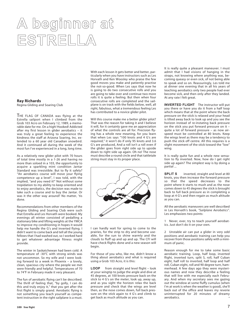# A beginner at ESTRELLA

#### **Ray Richards**

Regina Gliding and Soaring Club

THE FLAG OF CANADA was flying at the Estrella sailport when I climbed from the Grob 103 Acro on February 12, 1989, a memorable date for me. On a high! Hooked! Addicted after my first lesson in glider aerobatics – it was truly a great feeling to experience the kindness the staff at Arizona Soaring, Inc. extended to a 60 year old Canadian snowbird. And it continued all during the week of the most fun I've experienced in a long, long time.

As a relatively new glider pilot with 70 hours of total time mostly in a 1-26 and having no more than soloed in a 103, the opportunity to acquire a sparkling mint condition Jantar Standard was irresistible. But to fly it safely? "An aerobatics course will move your flying competence up a level", I was told, with the implied, "and you need it!" Not without some trepidation to my ability to keep oriented and to enjoy aerobatics, the decision was made to take such a course and to buy the Jantar. Or was it the other way around? No matter, 'tis done.

Recommendations from other members of the Regina Gliding and Soaring Club were such that Estrella and Les Horvath were booked. My evenings all winter consisted of pedalling a stationary bike and lifting weights at the YMCA to improve my conditioning in hopes it would help me handle the G's and inverted fIying. I didn't want to come back and tell all the young fellows that I had washed out, so I worked hard to get whatever advantage fitness might provide.

The winter in Saskatchewan had been cold. A temperature of -30°C with strong winds was not uncommon. So my wife and I were looking forward to a week in Phoenix – a lovely, clean, spacious city where the people we met were friendly and helpful. Temperatures of 70 to 74°F in February made it very pleasant.

The fun of aerobatic flying can't be described. The thrill of feeling that, "by golly, I can do this and truly enjoy it," that you get after the first flight is simply grand. Aerobatic flying is not something you teach yourself as competent instruction in the right sailplane is a must. With each lesson it gets better and better, particularly when you have instructors such as Les Horvath and Ken Woosley who praise the few good moves you make and patiently practise the not-so-good. When Les says that now he is going to do two consecutive rolls and you are going to take over and continue two more rolls it is quite a feeling. But then when four consecutive rolls are completed and the sailplane is on track with the fields below, well, all right, fabulous, what a tremendous feeling Les has contributed to a novice glider pilot.

Will this course make me a better glider pilot? That was the reason for taking it and I believe it will, for it certainly gave me an appreciation of what the controls are all for. Precision flying has a whole new meaning, for you learn that when Les says "100 knots and 4 G's are required," it won't do if only 95 knots and 3.6 G's are produced, And a roll isn't a roll even if the glider goes from right side up to upside down to right side up again. Oh no! The nose must describe a round circle and that tattletale string must stay in its proper place.



I can hardly wait for spring to come to the prairies, for the strip to dry and become useable, for the sun to shine warmly and the clouds to fluff up and up and up. The CFI will have check flights done and a new season will begin.

For those of you who, like me, didn't know a thing about aerobatics and what is required using a Grob 103 Acro, it is this:

**LOOP** from straight and level flight – look at your wingtip to judge the angle and dive at 45 degrees, at 100 knots pressure back on the stick to 4 G's on the meter, look up, away up, and as you sight the horizon relax the back pressure and check that the wings are level then, as the nose comes down, full back pressure on the stick again to 4 G's and climb to get back as much altitude as you can.

It is really quite a pleasant maneuver. I must admit that I had visions of hanging in the straps, not knowing where anything was, becoming queasy or even sick, of not being able to speak and so on. Reassuringly, Les told me at dinner one evening that in all his years of teaching aerobatics only two people had ever become sick, and then only after they landed. At any rate I felt great.

**INVERTED FLIGHT** The instructor will put you there or have you do it from a half loop which means that at the point where the back pressure on the stick is relaxed and your head is tilted away back to look up and you see the horizon instead of re-instating back pressure on the stick you put forward pressure on it – quite a lot of forward pressure – as now airspeed must be controlled at 80 knots. Keep the wings level as there may be a tendency to push the stick off centre. All this requires is a slight movement of the stick toward the "low" wing.

It is really quite fun and a whole new sensation to fly inverted. Now, how do I get right side up again? The simplest way is by doing a partial ...

**SPLIT S** inverted, straight and level at 80 knots, you then increase the forward pressure so that the speed decreases to the point where it starts to mush and as the nose comes down to 45 degrees the stick is brought back to full back pressure as in completing a loop at 4 G's and then regain as much altitude as you can.

All the aerobatic maneuvers are well described in Les Horvath's book, *"Sailplane Aerobatics"*. Les emphasizes two points:

1 Never, ever, try to teach yourself aerobatics. Just don't do it on your own.

2 Unstable air can put a glider in very odd positions and aerobatic training can help you recover from those positions safely with a minimum of panic.

Reason enough for me to take some basic aerobatic training. Loop, half loop, inverted flight, inverted turn, split S, roll, half Cuban eight, half roll to inverted, half loop and half roll, Cuban eight, roll and 90 degree turn, hammerhead. A few days ago they were mysterious names and now they describe a feeling that will live with me especially each February. And when my secretary sees me gazing out the window at some fluffy cumulus (when I'm at work is when the weather is good), she'll back out of the office and leaves my reverie uninterrupted for 20 minutes of dreamy aerobatics.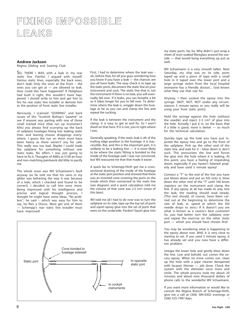## FIXING IMPOSSIBLE<br>LEAKS LEAKS

#### **Andrew Jackson**

Regina Gliding and Soaring Club

SO, THERE I WAS with a leak in my rear static line. Painful. I argued with myself, Ventus static lines, especially the back ones, don't leak! Only the ones at the front – the ones you can get at — are allowed to leak. How could this have happened? If Holighaus had built it right, this wouldn't have happened. I should write to him and get him to fire his rear static line installer or demote him to the position of front static line installer.

Nervously, I scanned "SOARING" and back issues of the "Scottish Bishop's Gazette" to see if anyone was parting with one of those small trained mice (that run up Scotsmen's kilts) you always find scurrying up the back of sailplane fuselages fixing rear leaking static lines and leaving mouse droppings everywhere. I guess the run on them must have been heavy as there weren't any for sale. This really was too bad. Maybe I could trade the sailplane for something without rear static leaks. No offers. I was just going to have to fix it. Thoughts of AMEs at \$100 an hour and non-matching paintwork did little to pacify me.

The whole issue was Wil Schuemann's fault anyway (as he told me that his vario in my glider was behaving the way it was because of a leak, which I checked and found to be correct). I decided to call him once more. Being impressed with his intelligence and precise and logical thought process, I thought he might have some ideas. "No problem", he said – which was easy for him to say, he flies a Discus. Must get one of them — Schempp's rear static line installer must have improved!

First, I had to determine where the leak was – oh, before that, for all you guys wondering how you know if you have a leak — the chances are you all have leaks. The easy check is to tape up the static ports, disconnect the static line on your instrument and suck. The static line that is, not the instrument! If there is no leak, you will eventually fall over. If it leaks, you can breathe a bit so it takes longer for you to fall over. To determine where the leak is, wriggle down the fuselage as far as you can and clamp the line and repeat the sucking.

If the leak is between the instrument and the clamp, it is easy to get at and fix. So I won't dwell on that here. If it is not, you're right where I was.

Generally speaking, if the static leak is aft of the trailing edge position in the fuselage, it is inaccessible. But, and this is the important part, it is unlikely to be a leaking line — it is more likely to be where the static fitting is bonded to the inside of the fuselage wall. I was not convinced, but Wil reassured me that that made it easier.

A quick fax to Schempp-Hirth got me a crosssectional drawing of the inside of the fuselage at the static port position and showed that there was an inverted cone covering the ports on the inside which then connected to the main line (see diagram) and a quick calculation told me the volume of that cone was 2.5 cm3 (more of this later).

Wil told me all I had to do now was to turn the sailplane on its side, tape up the top set of ports and squirt epoxy glue into the set of ports that were on the underside. Pardon! Squirt glue into



my static ports. Ha, ha. Why didn't I just wrap a sheet of resin soaked fibreglass around the outside — that would bung everything up just as well.

Wil Schuemann is a very smooth talker. Next Saturday, my ship was on its side, ports taped up and a piece of tape with a small hole in it taped over the lower port and a large syringe stolen from the local hospital (everyone has a friendly doctor)... God knows what they use that size for.

Anyway, I then sucked the epoxy into the syringe. (NOT, NOT, NOT under any circumstances 5 minute epoxy or you really will be using your front static ports).

Hold the syringe against the hole (without the needle) and inject 2-3  $cm<sup>3</sup>$  of glue into the hole. Actually I put 6 in, on the basis that if a little is good, more is better — so much for the technical calculation.

Quickly tape up the hole you have just injected the epoxy into and go to the front of the sailplane. Pick up the other end of the static line, and wait for it – blow down it; don't suck. This pressurizes the line and forces the glue into the hole where it is leaking. At this point, you have a feeling of impending doom, especially if you haven't listened properly and have used 5 minute epoxy!

Connect a "T" to the end of the line you have just blown down and put an ASI onto it, blow down the other end of the "T" until 100 knots registers on the instrument and clamp the line. If any epoxy at all has made its way into the leak, the reading should read steady. (This test should, of course, have been carried out at the beginning to determine the rate of leak, ie. speed at which the ASI needle drops to zero.) If it doesn't you are what is known as a casino's best customer! So, you had better turn the sailplane over and repeat the exercise on the other static port — which you should have chosen first!

You may be wondering what is happening to the epoxy about now. Well, it is very close to starting to set. If you used 5 minute epoxy, it has already set and you now have a different problem.

Untape the lower hole and gently blow down the line. Low and behold, out comes the excess epoxy. When no more comes out, clean up the hole with a pipe cleaner dampened with lacquer thinner — job done. Check the system with the altimeter once more and smile. The whole process took me about 20 minutes and about nine thousand dollars of phone calls to the wonderful Wil Schuemann.

If you want more information or would like to consult the Regina Branch of Schempp-Hirth, give me a call at (306) 584-0302 evenings or (306) 525-7487 days. •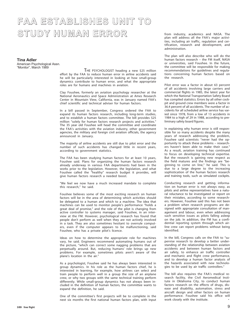### FAA ESTABLISHES UNIT TO FAA ESTABLISHES UNIT TO STUDY HUMAN ERROR STUDY HUMAN ERROR

**Tina Adler** American Psychological Assn. "Monitor", March 1989

 THE PSYCHOLOGIST heading a new \$25 million effort by the FAA to reduce human error in airline accidents said he will be particularly interested in looking at how small-group dynamics contribute to human error, and what the appropriate roles are for humans and machines in aviation.

Clay Foushee, formerly an aviation psychology researcher at the National Aeronautics and Space Administration at Ames Research Center in Mountain View, California, was in January named FAA's chief scientific and technical adviser for human factors.

In a bill passed in September, Congress ordered the FAA to expand its human factors research, including long-term studies, and to establish a human factors committee. The bill provides \$25 million "solely for human factors research projects and activities." The 35 year old Foushee will head the committee and coordinate the FAA's activities with the aviation industry, other government agencies, the military and foreign civil aviation officials, the agency announced in January.

The majority of airline accidents are still due to pilot error and the number of such accidents has changed little in recent years, according to government statistics.

The FAA has been studying human factors for at least 10 years, Foushee said. Plans for organizing the human factors research already underway in various FAA departments had been in the works prior to the legislation. However, the legislation, and what Foushee called the "healthy" research budget it provides, will give human factors research a needed boost.

"We feel we now have a much increased mandate to complete this research," he said.

Foushee believes some of the most exciting research on human factors will be in the area of determining which activities should be delegated to a human and which to a machine. The idea that machines can be used to monitor people's performance "holds a great deal of promise," and the role of the pilot is changing from active controller to systems manager, said Foushee, in an interview at the FM. However, psychological research has found that people don't perform as well when they are not actively involved in a task. They are also sometimes hesitant to overrule computers, even if the computer appears to be malfunctioning, said Foushee, who has a private pilot's licence.

Ideas on how to determine the appropriate role for machines vary, he said. Engineers recommend automating humans out of the picture, "which can correct some nagging problems that are perpetually around. But, reducing humans' role brings up new problems. For example, sometimes pilots aren't aware of the plane's location in the air."

As a psychologist, Foushee said he has always been interested in group dynamics. In his role as the human factors chief, he is interested in learning, for example, how airlines can select and train people to perform well in a group the size of an airplane crew, or why two groups with the same technical training perform differently. While small-group dynamics has not always been included in the definition of human factors, the committee wants to expand the definition, he said.

One of the committee's first projects will be to complete in the next six months the first national human factors plan, with input

from industry, academics and NASA. The plan will address all the FAA's major activities, including air traffic, regulation and certification, research and development, and administration.

The plan will also describe who will do the human factors research – the FM itself, NASA or universities, said Foushee. In the future, the committee will be responsible for making recommendations for guidelines and regulations concerning human factors based on the research.

Pilot error was a factor in about 63 percent of all accidents involving large carriers and commercial flights in 1985, the latest year for which the National Transportation Safety Board has compiled statistics. Errors by all other cockpit and ground crew members were a factor in 36.4 percent of all accidents. The number of accidents for all scheduled airline service has varied since 1978, from a low of 13 accidents in 1984 to a high of 29 in 1988, according to preliminary safety board figures.

In explaining why human error is still responsible for so many accidents despite the many years of research addressing the problem, Foushee said scientists "never had the opportunity to attack these problems – researchers haven't been able to make their case." As a result, aviation training has continued to focus on developing technical expertise. But the research is gaining new respect as the field matures and the findings are "beginning to come on line," he said. This is due to a large degree to the increasing sophistication of the human factors research and training tools, such as simulated cockpits.

Conducting research and getting information on human error is not always easy, as pilots and airline representatives have a natural reluctance to be investigated or report on their mistakes, according to some researchers. However, Foushee said this has not been a problem when research programs are designed with appropriate consultation of management and labour, even when addressing such sensitive issues as pilots falling asleep on the job. In addition, the FM has a confidential reporting system through which airline crew can report problems without being identified.

In the bill, Congress calls on the FAA to "supervise research to develop a better understanding of the relationship between aviation accidents and between human factors and air safety, to enhance air traffic controller and mechanic and flight crew performance, and to develop a human factor analysis of the hazards associated with new technologies to be used by air traffic controllers."

The bill also requires the FAA's medical research facility, the Civil Aeromedical Institute in Oklahoma City, to conduct human factors research on the effects of drugs, disease and disability, automation, stress and aircraft design and other factors on human performance. Foushee said his office will work closely with the institute.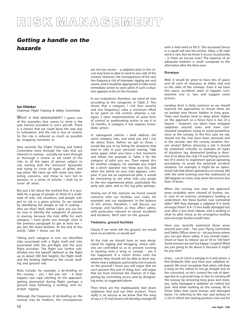## **RISK MANAGEMENT**

### **Getting a handle on the hazards**

**lan Oldaker**

Chairman Flight Training & Safety Committee

WHAT IS RISK MANAGEMENT? I guess one of the examples that comes to mind is the seat harness provided in one's aircraft. There is a chance that we could leave the seat due to turbulence, and the risk is loss of control. So the risk is reduced as much as possible by strapping ourselves in.

Very recently the Flight Training and Safety Committee went through the risks that are inherent in soaring – actually we went through as thorough a review as we could of the risks to all the types of person subject to risk, starting with the "innocent" bystander and trying to cover all types of glider and tug pilots. We came up with some very interesting concerns, and these in turn led to answers. In a series of articles, I shall try to cover all areas.

But just a bit about the method first. It is possible for a group of people to think of a multitude of risks, risk situations, and people subject to risk in a given activity. So we started by identifying the people at risk in soaring – who are they? Well, before I give you our list, try now to identify the categories of persons in soaring, because the risks differ for each category. I have given you enough clues in the previous paragraph to get at least ten – yes ten! We listed thirteen. At the end of this article, Table 1 shows our list.

Taking each category in turn we identified risks associated with a flight itself and risks associated with the pre-flight and the post flight activities. The flight was further subdivided into the takeoff (defined as the flight up to about 300 feet height), the flight itself, and the landing (defined as the circuit, landing and ground roll).

Risks include, for example, a de-briefing on the runway – yes, I kid you not – it does happen, tow rope catching on the approach, getting downwind during flight, perhaps a ground loop following a landing, and improper rigging.

Although the frequency of de-briefing on the runway may be medium, the consequences are not too severe – a sailplane pilot in the circuit may have to plan to land to one side of the runway. However, the consequences of the very low frequency risk of improper rigging are very severe, and it would be appropriate to take some immediate action to warn pilots if such a situation appears to be on the increase.

In our evaluations therefore, we rated all risks according to the categories in Table 2. This shows that a category 1 risk (low severity and low frequency) rates a minimum effort to be spent on risk control, whereas a category 3 rates implementation of some form of control or ameliorating action in say 6 to 18 months. A category 4 risk requires immediate action.

In subsequent articles I shall address the worst category risks, and what you and I can do about them. Before we get to these, I would like you to try listing the situations that lead to risks in your personal soaring. Take some paper when you have a few moments and follow the example in Table 3 for the category of pilot you are. Then repeat this for another category, for example you might be a winch operator too. Keep your list, and when the article on your risks appears, compare. If you are an experienced pilot, it would be interesting to see what risks you assign to the less experienced pilots, particularly the early solo pilot, and to the tug pilot perhaps.

Arising out of this exercise we found several concerns with our facilities (our clubs, for example) and our equipment. In the balance of this article, therefore, I will discuss our runways and facilities as they affect safety, with particulars relevant to recent accidents and incidents. We'll start on the ground.

#### **Tiedowns, ground facilities**

Clearly if we never left the ground, we would have no accidents, or would we?

At the club we should have an area designated for rigging and derigging, where vehicles are controlled so as to prevent running or backing onto a wing or canopy – yes it has happened. If a visitor drives onto the property they should not be able to drive anywhere near a sailplane, particularly one in pieces on the ground! I know you will argue that we can't prevent this sort of thing, but I will argue that we must minimize the chances of it happening by controlling access and by designating areas, as suggested above.

Then there are the inadequately tied down sailplanes that pull out their anchors. There really is no excuse as we know that the wing of say a 2-33 (tail down) will develop enough lift

with a mild wind to lift it. The increased forces in a squall will test the anchor. Okay, a 90 mph wind is rare, but we know it occurs occasionally – is there an excuse now? The expense of an adequate tiedown is small compared to the alternative after the blow over.

#### **Runways**

Well, it would be great to have lots of space and all sorts of clearance at either end and to the sides of the runways. Even if we have this space, accidents seem to happen. Let's examine one or two and suggest some actions.

Landing short is fairly common so we should examine the approaches to ensure there are no barbed wire fences hidden in long grass. Trees and bushes tend to keep pilots higher on the approach so a fence here is less of a hazard – however, our pilots have wrapped sailplanes around trees and have cartwheeled towplanes trying to avoid powerlines close to the runway. In the first case we ask, should not the tree have been removed and in the second, was the runway location chosen wisely? Before choosing a site it should be examined critically to evaluate all types of situations (eg. downwind landing in direction X) to allow the club CFI and Flying committee (if it exists) to implement special operating procedures to avoid the potential accident situation. For example, it might be an operational rule that allows operations on runway 260 with the wind (coming over the clubhouse) at 280 degrees or more, only when the wind is less than 10 knots.

When the runway was new the approach areas probably were cleared of bushes, etc. in case of an overrun, emergency landing or undershoot. Are these bushes now somewhat taller? Will they damage a sailplane if it lands amongst them? A K-13 was badly damaged last year after a low level release, and a landing in what its pilot chose as his emergency landing area amongst bushes/small trees.

Have you recently examined these areas around your club – has your Flying committee and Safety Officer done so – do you know where you can put down safely, if you should undershoot or have to release say at 50 to 100 feet? Some answers are not too happy, I suspect! What are you going to do about it, because it might be you next?

Grass – cut it! Catch a wingtip in it and wham, a few kilobucks later you have your sailplane repaired. We must recognize that pilots will drop a wing on the rollout or not go straight due to the crosswind, so let's control the risk of damage due to a ground loop, or due to running off the runway by removing long grass and rocks; yes, rocks damaged a sailplane on rollout last year. And while working on the runway, fill in those holes that cause bumps and damaged backs. I'm referring to the rear seat jockeys in 2-33s in which the seating position cries out for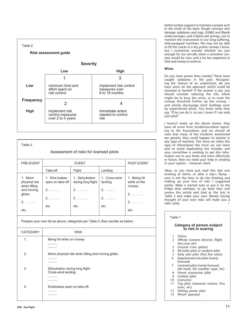

| Table 3                                                                        |                                                                  |                                                       |                                          |                                         |  |  |  |
|--------------------------------------------------------------------------------|------------------------------------------------------------------|-------------------------------------------------------|------------------------------------------|-----------------------------------------|--|--|--|
| Assessment of risks for licensed pilots                                        |                                                                  |                                                       |                                          |                                         |  |  |  |
| PRE-EVENT                                                                      |                                                                  | <b>EVENT</b>                                          |                                          | POST-EVENT                              |  |  |  |
|                                                                                | Take-off                                                         | Flight                                                | Landing                                  |                                         |  |  |  |
| 1. Minor<br>physical risk<br>when lifting                                      | 1. Dive brakes<br>open on take-off<br>$2. \ldots.$               | 1. Dehydration<br>during long flight.<br>$2. \ldots.$ | 1. Cross-wind<br>landing<br>$2. \ldots.$ | 1. Being hit<br>while on the<br>runway. |  |  |  |
| and moving<br>glider.<br>2.<br>etc.                                            | 2.<br>etc.                                                       | 2.<br>etc.                                            | 2.<br>etc.                               | 2.<br>2.<br>etc.                        |  |  |  |
| Prepare your own list as above, categorize per Table 2, then reorder as below: |                                                                  |                                                       |                                          |                                         |  |  |  |
| CATEGORY                                                                       |                                                                  | <b>RISK</b>                                           |                                          |                                         |  |  |  |
| 1.                                                                             | Being hit while on runway<br>.<br>.                              |                                                       |                                          |                                         |  |  |  |
| 2.                                                                             | Minor physical risk when lifting and moving glider.<br>.<br>.    |                                                       |                                          |                                         |  |  |  |
| 3.                                                                             | Dehydration during long flight.<br>Cross-wind landing.<br>.<br>. |                                                       |                                          |                                         |  |  |  |
| 4.                                                                             | Divebrakes open on take-off.<br>.<br>.                           |                                                       |                                          |                                         |  |  |  |

better lumbar support to maintain a proper arch in the small of the back. Rough runways also damage sailplanes and tugs, IS28B2 and Blanik undercarriages, and Citabria tail springs, not to mention the instruments in our long-suffering, skid-equipped machines. We may not be able to fill the cracks in a dry prairie runway I know, but I sometimes wonder whether we care enough for our aircraft, when a smoother runway would be nice, and a lot less expensive in time and money to work on.

#### **Wires**

Do you have power lines nearby? These have caught sailplanes in the past. Recognizing the chance of an undershoot, do you have wires on the approach which could be rerouted or buried? If the answer is yes, you should consider reducing the risk, which might be to bury the wires, or to mark the runway threshold further up the runway – and strictly discourage short landings even by experienced pilots. You know what they say. "If he can do it, so can I (even if I am only just solo!)"

I haven't made up the above stories, they have all come from incident/accident reporting to the Association, and we should all note that many of the incidents mentioned are generic, they could happen to anyone in any type of machine. The more we share this type of information the more we can learn and so avoid duplicating the mistake, and your committee is working to get this information out to you faster and more effectively in future. Now we need your help in sending in your reports – however short.

Okay, so you have just read this late one evening at home, or after a day's flying – now is not the time to do the thinking and making up your lists of risks I suggested earlier. Make a mental note or put it on the fridge door perhaps, to go back later and review this article and look at the lists in Table 3 and make your own. Merely having thought of your own risks will make you a safer pilot.

| Table 1                                          |                                                                      |  |  |  |  |
|--------------------------------------------------|----------------------------------------------------------------------|--|--|--|--|
| Category of person subject<br>to risk in soaring |                                                                      |  |  |  |  |
| 1                                                | Visitor                                                              |  |  |  |  |
| $\overline{2}$                                   | Official (contest director, flight                                   |  |  |  |  |
|                                                  | line crew, etc)                                                      |  |  |  |  |
| 3                                                | Ground crew (pilots)                                                 |  |  |  |  |
| $\overline{4}$                                   | Ab-initio pilot or student pilot                                     |  |  |  |  |
| 5                                                | Early solo pilot (first few solos)                                   |  |  |  |  |
| 6                                                | Experienced solo pilot (nearly<br>licensed)                          |  |  |  |  |
| 7                                                | Licensed pilot (newly licensed,<br>old hand, fair weather type, etc) |  |  |  |  |
| 8                                                | Power conversion pilot                                               |  |  |  |  |
| 9                                                | Contest pilot                                                        |  |  |  |  |
| 10                                               | Instructor                                                           |  |  |  |  |
| 11                                               | Tug pilot (seasonal, trainee, first                                  |  |  |  |  |
|                                                  | tows, etc)                                                           |  |  |  |  |
| 12                                               | Visiting power pilot                                                 |  |  |  |  |
| 13                                               | Winch operator                                                       |  |  |  |  |
|                                                  |                                                                      |  |  |  |  |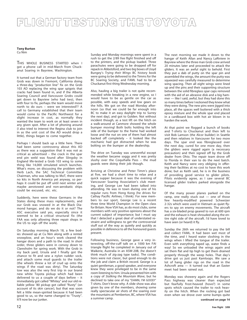## **FLIGHT TESTING THE TOYOTA**

#### **Tony Burton** Cu Nim

THIS WHOLE BUSINESS STARTED when I got a phone call in mid-March from Chuckanut Soaring in Bayview, Washington.

It turned out that a German factory team from Grob was down in Fremont, California doing a three-day "production line" fix on the Grob 103 AD replacing the wing spar spigots that cracks had been found in, and if the Alberta Soaring Council and Vancouver Grobs could get down to Bayview (who had two), then with four to fix, perhaps the team would move north to do ours – were we interested?? A call to Germany established that their team would come to the Pacific Northwest for a slight increase in cost, as normally they wanted the team to work on at least seven in any given spot. After a lot of phoning around (I also tried to interest the Regina club to join in as the unit cost of the AD would drop a little), things began to come together.

Perhaps I should back up a little here. There had been some controversy about this AD as there was a suggestion that it was not as critical as advertised – the crack in the spar end pin weld was found after Slingsby in England life-tested a Grob 103 wing to some thing like 14,000 simulated winch launches. What's more, on discussing the problem with Herb Lach, the SAC Technical Committee Chairman, who was talking to MoT, there were no kits in North America yet anyway, so perhaps it could be put off until next winter and maybe aerotowed and non-aerobatic ships could be excused, etc. etc.

Suddenly, here were these Germans in the States doing these mass replacements, and our Grob was snowed in at the Black Diamond hangar, and do we do it or not? The ASC executive said yes, especially since it seemed to be a critical structural fix (the FAA was only allowing three repair shops in the US to sign off the work).

On Saturday morning March 18, a few bodies showed up at Cu Nim along with a rented snowplow, and an hour's work cleared the hangar doors and a path to the road. In short order, three gliders were in convoy down to Claresholm for spring work. With the Grob in my back yard, Ursula and I finally got the chance to fit and sew a nylon rudder sock, and attach some mud guards to the trailer (the wheels threw a lot of crud up onto the wings if the road was dirty). The Saturday tow was also the very first trip in our brand new white Toyota pickup which had been delivered to us a couple of days before – it immediately got called "Whitey" and our old reliable yellow '80 pickup got called "Rusty" (on account of its skin cancer), but that was soon felt a little mean-spirited because it had been good to us, so the name changed to "Trusty". It'll now be our junker.

Sunday and Monday mornings were spent in a rush to get the 2/89 *free flight* finished and off to the printers, and the pickup loaded. Three parachutes were going to be dropped off for repack in Abbotsford, and two big boxes of Lloyd Bungey's *Trying their Wings* BC history book were going to be delivered to the Timms for the BC Soaring Society, and FAML had to be at Chuckanut first thing Wednesday morning.

Also, hauling a big trailer is not quite recommended while breaking in a new engine, so I would have to be as gentle on the car as possible, with easy speeds and low gears on the hills. We got on the road Monday afternoon (so that we could be far enough into BC to make it an easy daylight trip to Surrey the next day), and got to Golden. Not without incident though, as a test lift on the hitch on a walk-around at Canmore showed the whole bumper moving! Both bolts holding the left side of the bumper to the frame had worked loose and the nut on one of them had almost backed off completely – it looked like the mechanic had got distracted when he was bolting on the bumper at the dealership.

The drive on Tuesday was uneventful except the weather became soggy and it was pretty slushy over the Coquihalla Pass – the mud guards were doing their job though.

Arriving at Christine and Peter Timm's place at five, we had a short time to relax and a quick supper because it was the evening of Vancouver Soaring Association's club meeting, and George Lee had been talked into attending. He was in town during one of his regular runs from Hong Kong (he drives for Cathay Pacific Airlines, I think). For new members to our sport, George Lee is a recent three time World Champion in the Open class for Britain. Now VSA has, as do most clubs, some members with very positive opinions about the current subject of importance; but I must say that I detected a great deal of understated restraint and willingness to get the controversial stuff out of the way as quietly and quickly as possible in deference to all the honoured guests present.

Following business, George gave a very interesting, off-the-cuff talk on a 1000 km FAI triangle flight he completed in January out of Waikerie, Australia in an ASW-20B, (he doesn't think much of zig-zag type tasks). The conditions were not classic, but good enough to do the job and claim a British record. George is a quiet gentleman, a good speaker, and everyone knew they were privileged to be in the same room listening to him. Ursula presented him with a copy of *Stalking the Mountain Wave*, but he declined to take one of my "DAMN, I'M GOOD!" T-shirts. Don't know why. A slide show was also given by one of the members, showing some really spectacular air shots of the soaring over the mountains at Pemberton, BC, where VSA has a summer camp.

The next morning we made it down to the hangar of Keith Allan and Nancy LaRiviere in Bayview where the three man Grob crew arrived 20 minutes later and proceeded to attack the gliders. It was an awful sight to behold. First they put a dab of putty on the spar pin and assembled the wings, the amount the putty was squeezed was carefully measured to determine wing spacing. Then all eight wings were lined up and the pins and their supporting structure between the solid fibreglass spar caps removed with the aid of an abrasive disk and a big hammer — like I said, awful, but they had done this so many times before I reckoned they knew what they were doing. The new pins were jigged into place, all the spaces well buttered with a thick epoxy mixture and the whole spar end placed in a cardboard box with hot air blown in to harden the work.

At that point we flogged a bunch of books and T-shirts to Chuckanut and then left to visit Bob Lamson (the Alcor builder) in Seattle and then relatives in Vancouver for two more days. The spar end was fibreglassed over the next day, cured for one more day, then the gliders were rigged again (a necessary precaution) and then signed off by the Grob dealer from Ohio. The repair team drove off to Florida in their van to do the next batch. Keith and Nancy were very obliging in offering their facilities at no cost to have this work done; but as Keith said, he is in the business of providing good service to glider pilots. Pilots evidently agree, as I saw several BC licensed glider trailers parked alongside the hangar.

Of the many power planes parked on the ramp, one really stuck out — one of those few heavily-modified powered Schweizer 2-32s which were used in Vietnam as quiet flyers to spy on enemy movements. The aircraft has a six-bladed prop geared to run at 600 rpm and the exhaust is heat-shrouded along the entire right side of the aircraft. I'd have loved to have seen (or heard) it fly.

Sunday the 26th we returned to pay the bill and collect FAML. It had been wet most of the time, and I heard water sloshing in the wings when I lifted the tongue of the trailer. Even with everything taped up, water finds a way! So we unloaded the wings again and sat them flat and tip high to get them drained properly through the weep holes. That day's drive got us just past Kamloops. We saw a lot of hang glider rigs on the road in the Ashcroft area — it turned out that an Easter meet had been rained out.

Monday was showery again and the Rogers Pass highway was cleaner than expected but fearfully frost-heaved (hove?) in some spots which caused the trailer to rock heavily on the hitch. When the rocking got bad even when we drove over some bumps quite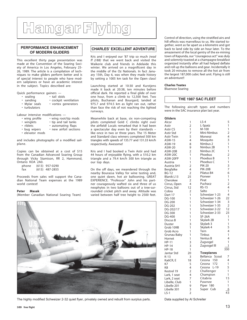# **Hangar Flying**

#### **PERFORMANCE ENHANCEMENT OF MODERN GLIDERS**

This excellent thirty page presentation was made at the Convention of the Soaring Society of America in Los Angeles, February 25- 26, 1989. The article is a compilation of techniques to make gliders perform better and is of special interest to people who have modern sailplanes or have an academic interest in the subject. Topics described are:

Quick performance gainers —

- sealing tail skids
- 
- sanding cockpit ventilation<br>• Mylar seals vortex generators • vortex generators
- turbulators

Labour intensive modifications —

|  | • wing profile |   |  |  | • wing root/tip mods |
|--|----------------|---|--|--|----------------------|
|  |                | . |  |  |                      |

• winglets • tip and tail tanks

|  | • riblets | • automating flaps |  |
|--|-----------|--------------------|--|
|--|-----------|--------------------|--|

- bug wipers new airfoil sections
- elevator mods

and includes photographs of a modified sailplane.

Copies can be obtained at a cost of \$15 from the Canadian Advanced Soaring Group through Vicky Stamison, RR 2, Hammond, Ontario KOA 2A0.

| phone | $(613)$ 957-0290 |
|-------|------------------|
| fax   | $(613)$ 487-2855 |

Proceeds from sales will support the Canadian National Team expenses at the 1989 world contest!

#### **Peter Masak**

(Member Canadian National Soaring Team)

#### **CHARLES' EXCELLENT ADVENTURE**

Kris and I enjoyed our '87 trip so much *(read ff 2/88)* that we went back and visited the Waikerie club and friends in Adelaide this winter. We arrived on a magnificent day in the middle of the Oz Nationals. In fact January 15th, Day 6, was when they made history by setting a 1005 km task for the Open class!

Launching started at 10:30 and Kurstjens made it back at 20:38, ten minutes before official dark. He reported a final glide of over one hour, from a climb to 12,500 feet. Two pilots, Buchanan and Bourgard, Ianded at 975.7 and 974.5 km as light ran out, rather than face the risk of not reaching the lighted runways.

Meanwhile back at base, six non-competing pilots completed Gold C climbs right over the airfield! Locals remarked that it had been a spectacular day even by their standards – like once in two or three years. The 15 Meter and Standard class winners completed 500 km triangles with speeds of 135.77 and 131.33 km/h respectively. Awesome!

Kris and I had booked a Twin Astir and had 44 hours of enjoyable flying, with a 510.2 km triangle and a 79.4 km/h 300 km triangle as our top days.

On the off days, we meandered through the nearby Bourassa Valley for wine tasting and, one quiet dawn, hot air ballooning. GREAT EXPERIENCE. "Professor" John and his partner courageously wafted six and three of us neophytes in two balloons out of a tree-surrounded cricket pitch and away. Altitude was varied between half tree height to 2500 feet.



The highly modified Schweizer 2-32 quiet flyer, privately owned and rebuilt from surplus parts. Data supplied by Al Schreiter

Control of direction, using the stratified airs and hill effects was marvellous to us. We started together, went as far apart as a kilometre and got back to land side by side an hour later. To the amazement of the local gentry of the ex-mining town of Kapunda, our "courageous act" was duly and solemnly toasted at a champagne breakfast organized instantly after all had helped deflate and roll up the balloons and gear. Incidentally it took 20 minutes to remove all the hot air from the largest 187,000 cubic feet unit. Flying is still an adventure!!

#### **Charles Yeates** Bluenose Soaring

#### **THE 1987 SAC FLEET**

The following aircraft types and numbers were in the SAC insurance plan last year.

| <b>Gliders</b>    |                |                  |                |
|-------------------|----------------|------------------|----------------|
| Alcor             | 1              | $LS-4$           | 5              |
| Astir             | $\overline{2}$ | L-Spatz          | 1              |
| Astir CS          | 1              | M-100            | 1              |
| Astir Std         | 7              | Mini-Nimbus      | $\overline{2}$ |
| <b>Astir Twin</b> | 5              | Monerai          | 4              |
| ASW-15            | 4              | Mosquito         | 3              |
| ASW-19            | 8              | Nimbus 2         | 1              |
| ASW-20            | 9              | Nimbus 2B        | 1              |
| ASW-20B           | $\overline{2}$ | Nimbus 2C        | 1              |
| ASW-20C           | 1              | Phoebus          | $\overline{2}$ |
| ASW-20FP          | 1              | Phoebus B        | 1              |
| Austria           | 1              | Phoebus C        | 1              |
| Austria SH1       | $\overline{2}$ | <b>PIK-20</b>    | 3              |
| Bergfalke         | 4              | <b>PIK-20B</b>   | 7              |
| <b>BG-12</b>      | $\overline{2}$ | Pilatus B4       | 6              |
| Blanik L13        | 25             | Pioneer          | 1              |
| Cherokee          | 2              | Pirat            | 1              |
| Cirrus, Open      | 4              | Puchacz          | $\overline{2}$ |
| Cirrus, Std       | 12             | $RS-15$          | 4              |
| Cobra             | $\overline{2}$ | Salto            | 1              |
| Dart 17           | 1              | Schweizer 1-23   | 4              |
| <b>DG-100</b>     | 1              | Schweizer 1-26   | 22             |
| DG-200            | 1              | Schweizer 1-34   | 3              |
| DG-202            | 1              | Schweizer 1-35   | $\overline{2}$ |
| DG-202/17         | 1              | Schweizer 2-22   | 12             |
| DG-300            | 1              | Schweizer 2-33   | 23             |
| <b>DG-400</b>     | 1              | <b>SF-26A</b>    | 1              |
| Discus B          | 1              | Skylark 2B       | 1              |
| Duster            | 3              | Skylark 3        | 1              |
| Grob 109B         | 1              | Skylark 4        | 5              |
| Grob Acro         | 1              | Tern             | 4              |
| Grunau Baby       | 1              | Tinbus           | 1              |
| Hornet            | 1              | Ventus B         | 4              |
| <b>HP-11</b>      | 3              | Zugvogel         | 1              |
| <b>HP-14</b>      | 3              | Zugvogel III     | 1              |
| <b>HP-18</b>      | 1              |                  | 330            |
| Jantar Std        | 20             | <b>Towplanes</b> |                |
| $K-13$            | 3              | Bellanca Scout   | 7              |
| Ka6CR, E          | 18             | 150<br>Cessna    | 4              |
| K7                | 5              | 172<br>Cessna    | 1              |
| K <sub>8</sub>    | 4              | $L-19$<br>Cessna | 5              |
| Kestrel 19        | 2              | Challenger       | 1              |
| Lark, 1 seat      | 4              | Champion         | 1              |
| Lark, 2 seat      | 7              | Citabria         | 15             |
| Libelle, Club     | 1              | Pawnee           | 1              |
| Libelle 201       | 9              | Piper 180        | 1              |
| Libelle 301       | 3              | Super Cub        | 6              |
| $LS-1$            | $\overline{2}$ |                  | 43             |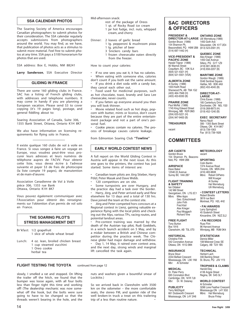#### **SSA CALENDAR PHOTOS**

The Soaring Society of America encourages Canadian photographers to submit photos for their consideration. The SSA calendar regularly accepts submissions from photographers around the world. You may find, as we have, that publication of photos acts as a stimulus to submit more material. Feel free to submit photos at any time. SSA pays a \$100 honorarium for photos that are used.

SSA address: Box E, Hobbs, NM 88241

**Larry Sanderson**, SSA Executive Director

#### **GLIDING IN FRANCE**

There are some 160 gliding clubs in France. SAC has a listing of French gliding clubs, with addresses and telephone numbers. It may come in handy if you are planning a European vacation. Please send \$3 to cover copying (it's 19 pages long), postage, and general fiddling about to:

Soaring Association of Canada, Suite 306, 1355 Bank Street, Ottawa, Ontario K1H 8K7

We also have information on licensing requirements for flying solo in France.

Il existe quelque 160 clubs de vol à voile en France. Si vous songez à faire un voyage en Europe, vous voudrez peut-être vous procurer leurs adresses et leurs numéros de téléphone aupres de l'ACVV. Pour obtenir cette liste, vous devez écrire à l'adresse suivante et payer \$3 de frais de photocopie (la liste compte 19 pages), de manutention et de main-d'œuvre:

Association Canadienne de Vol à Voile pièce 306, 1355 rue Bank Ottawa, Ontario K1H 8K7

Vous pouvez également communiquer avec l'Association pour obtenir des renseignements sur l'obtention d'un permis de vol solo en France.

#### **THE SOARING PILOT'S STRESS MANAGEMENT DIET**

Br'kfast: 1/2 grapefruit 1 slice of whole wheat bread

Lunch: 4 oz. Iean, broiled chicken breast 1 cup steamed zucchini 1 Oreo cookie herbal tea

#### Mid-afternoon snack:

- rest of the package of Oreos 1 qt. of Rocky Road ice cream
	- 1 jar hot fudge, incl. nuts, whipped cream, and cherry

#### Dinner: 2 loaves of garlic bread

- 1 Ig. pepperoni & mushroom pizza
- 1 Ig. pitcher of beer
- 3 Snickers candy bars
- 1 frozen cheesecake eaten directly from the freezer.

How to count your calories:

If no one sees you eat it, it has no calories. When eating with someone else, calories

don't count if you both eat the same amount. If you drink a diet soda with a candy bar, they cancel each other out.

• Food used for medicinal purposes, such as hot chocolate, toast, brandy and Sara Lee cheesecake, never counts.

If you fatten up everyone around you then you will look thinner.

• Movie related food such as hot dogs, popcorn with butter, mints or licorice, don't count because they are part of the entire entertainment package and not a part of one's personal fuel.

• Cookie pieces contain no calories. The process of breakage causes calorie leakage.

from Edmonton Soaring Club **"Towline"**

#### **EARLY WORLD CONTEST NEWS**

A full report on the World Gliding Contest in Austria will appear in the next issue. As this one goes to the printers, the contest has just started. Some items of interest are:

• Canadian team pilots are Jörg Stieber, Harry Pölzl, Peter Masak and Dave Webb.

120 competitors are on site.

Some turnpoints are over Hungary, and the practice day had a task over the border.

• Harry, Jörg, and Peter arrived early and flew elsewhere for 13 days and a total of 130 hrs. Dave joined the team at the contest site.

Jörg and Peter competed hors concours at a Regional contest in Lienz, gaining valuable experience flying with the local pilots and checking out the Alps, various TPs, racing routes, and potential landout areas.

Pre-contest training was marred by the death of the Austrian top pilot, Rudi Goebbels, in a winch launch accident on 5 May, and by a midair between a British and Chinese competitor during the practice week. The Chinese glider had major damage and withdrew.

Day 1, 14 May, it rained over contest area, and the next day, strong winds and marginal lift cancelled the task again.

#### **FLIGHT TESTING THE TOYOTA** continued from page 12

slowly, I smelled a rat and stopped. On lifting the trailer off the hitch, we found that the bumper was loose again, with all four bolts less than finger tight this time and working off! (The dealership mechanic was now somewhat off the hook, but the bolts were sure going to have to be changed so that the threads weren't bearing in the hole, and the

nuts and washers given a bountiful smear of Locktite.)

So we arrived back in Claresholm with 3500 km on the odometer – the more comfortable seats, the stereo FM, and quieter ride of the well broken-in truck a treat on this trailering trip of a less than routine nature.

#### **SAC DIRECTORS & OFFICERS**

#### **PRESIDENT &**

**DIRECTOR-AT-LARGE** Gordon Bruce (1989) 154 Shannon Pk, Beaconsfield, PQ H9W 2B8 (613) 523-2581 (H) (514) 697-1442 (H)

**ONTARIO ZONE** Ulli Werneburg (1989) 1450 Goth Ave Gloucester, ON K1T 2E4

#### **VICE-PRESIDENT & PACIFIC ZONE** Harald Tilgner (1988) Coquitlam, BC V3K 5L4 **QUEBEC ZONE** Alex Krieger (1989) 1450 Oak Avenue Sillery, PQ G1T 1Z9 (418) 681-3638 (H)

(418) 656-2207 (B) **MARITIME ZONE** Gordon Waugh (1989) 5546 Sentinel Square Halifax, NS B3K 4A9 (902) 455-4045 (B)

Al Sunley (1988) 1003 Keith Road Sherwood Pk, AB T8A 1G2 (403) 464-7948 (H) (403) 453-8330 (B)

90 Warrick Street

(604) 521-4321 (H) (604) 521-5501 (VSA) **ALBERTA ZONE**

> **DIRECTOR-AT-LARGE** Chris Eaves (1988) 185 Canterbury Drive Dorchester, ON N0L 1G0 (519) 268-8973 (H) (519) 452-1240 (B)

**PRAIRIE ZONE** Paul Moffat (1988) 1745 King Edward Street Winnipeg, MB R2R 0M3 (204) 633-5221 (H) (204) 947-9400 (B)

**TREASURER**

vacant

**EXEC SECRETARY** Nancy Nault 306 - 1355 Bank Street Ottawa, ON K1H 8K7 (613) 739-1063 Fax (613) 739-1826

#### **COMMITTEES**

**AIR CADETS** Gordon Bruce 154 Shannon Pk, Beaconsfield, PQ H9W 2B8

**METEOROLOGY** vacant **SPORTING** Colin Bantin

1374 Avenue Road Toronto, ON M5N 2H4

**AIRSPACE** Dave Baker 12546 22 Avenue Surrey BC V4A 2B7

**FLIGHT TRAINING & SAFETY** Ian Oldaker 142 Mill Street

Georgetown, ON L7G 2C1 Mbrs: Mike Apps Geo. Eckschmiedt John Firth Fred Kisil Alex Krieger Paul Moggach

(416) 483-9608<br>Mhrs: Robert I Robert DiPietro Wilf Krueger Al Sunley Hal Werneburg Ulli Werneburg • **CONTEST LETTERS** Robert Binette 3819 rue Berri

Richard Vine Montreal, PQ H2L 4H2 • **FAI AWARDS** Larry Springford 45 Goderich Street Kincardine, ON N2Z 2L2

**FREE FLIGHT** Tony Burton Box 1916 Claresholm, AB T0L 0T0

**HISTORICAL** Christine Firth 542 Coronation Avenue Ottawa, ON K1G 0M4

**INSURANCE** Bryce Stout 2244 Belfast Crescent Mississauga, ON L5K 1N9 Mbr: Al Schreiter

**MEDICAL** Dr. Peter Perry 695 Coronation Blvd Cambridge, ON N1R 7J9 Mbr: Dr. W. Delaney

**PUBLICITY** Terry McElligott 661 Dodsworth Crescent Mississauga, ON L4Y 2H6 **STATISTICIAN** Dennis Miller 108 Midcrest Cresc SE Calgary, AB T2X 1B5

• **FAI RECORDS** Russ Flint 96 Harvard Avenue Winnipeg, MB R3M 0K4

**TECHNICAL** Herbert Lach 330 Banting Street St. Bruno, PQ J3V 1Y3

**TROPHIES & CLAIMS** Harold Eley 4136 Argyle Street Regina, SK S4S 3L7

**WORLD CONTEST** Al Schreiter 3298 Lone Feather Crescent Mississauga ON L4Y 3G5<br>Mbrs: Hal Werneburg Hal Werneburg Bruce Finlay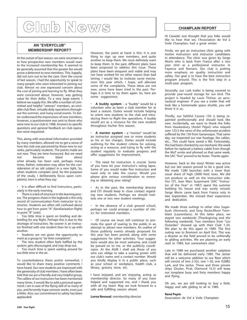# **Club News**

#### **AN "EVERYCLUB" MEMBERSHIP REPORT?**

At the outset of last season, we were uncertain as to how prospective new members would react to the increased membership fee. It seemed to be generally assumed that the greater fee would prove a deterrent to new members. This, happily, did not turn out to be the case. Over the course of last season, I had the opportunity to speak to many people who were interested in joining our club. Almost no one expressed concern about the cost of joining and learning to fly. What they were concerned about, however, was getting value for their dollar. To a very large extent, I believe we supply this. We offer a number of committed and helpful "veteran" members, an enviable club fleet, virtually daily operations throughout the summer, and many social events. To better understand the impressions of new members, however, a questionnaire was sent to those who were new to our club in 1988. Answers to specific questions and general feedback on club operation were requested.

This, along with anecdotal information provided by many members, allowed me to get a sense of how the club was perceived by those new to our ranks, particularly students. The points made are not new. They are time honoured. But we need not become blasé about what already has been said, perhaps many times. Rather, reiteration may allow for the consideration of an old subject in a new light. So, when students complain (and, for the purposes of the study, I deliberately focus upon complaints), here is what they say:

It is often difficult to find instructors, particularly in the early morning.

• There is a lack of structure in the learning process. The progress sheet in the logbook is the only record of communication from instructor to instructor. Students are often still confused about how to get from point "A" (familiarization flight) to point "B" (solo).

• Too little time is spent on briefing and debriefing for any flight. Perhaps this is due to the shortage of instructors. No sooner is an instructor finished with one student than he is up with another.

Students are not given the opportunity to meet as a group to "air their complaints".

The new student often feels baffled by the system, gets discouraged, and may drop out.

Too much time is spent waiting around for too little time in the air.

To counterbalance these points somewhat, I would like to share many positive comments I have heard. Our new students are impressed with the generosity of club members. I have often been told that we are a friendly and very helpful group. The calibre of our instructors has been mentioned many times. (I would like to add a personal agreement: I am in awe of the flying skill of so many of you, and fervently hope osmosis works, even just a little). Also, our commitment to safety has been applauded.

However, the point at hand is this: it is one thing to sign up new members, and quite another to keep them. We most definitely want to keep them. In the past, different plans have been proposed to address this issue. These plans have been eloquent and viable and may not have worked for no other reason than bad timing. I would like to institute some mechanism this year which, I hope, will alleviate some of the complaints. These ideas are not new; some have been tried in the past. Perhaps it is time to try them again. So, here are some suggestions:

• **A buddy system** – a "buddy" would be a volunteer who as been a club member for at least a season. Duties would include helping to orient new students to the club and introducing them to flight line operations. A buddy would act as a resource for the new student throughout his/her first season.

• **A mentor system** – a "mentor" would be an instructor assigned one or more students as his or her charges. Duties would include outlining for the student criteria for soloing, acting as a resource, and trying to fly with the student regularly to evaluate progress and offer suggestions for improvement.

The need for instructors is crucial. Some of you have let your instructor's rating lapse. Some of you would make fine instructors and need only to take the course. Would you please give serious consideration to renewing or obtaining your rating?

As in the past, the membership director and CFI should keep in close contact regarding new students. Perhaps we should institute one or two new student meetings.

• In the absence of a club ground school, perhaps we could arrange a number of clinics for interested members.

• Of course we must still continue to promote the sport of soaring to the public in an attempt to attract new members. An outline of those publicity events already proposed for this year has been posted, along with some suggestions for other activities. Your suggestions would also be most welcome, and could be passed on to me, or the publicity coordinator. At the AGM I shall ask those of you who can oblige to take a soaring poster with our club's name and a contact number. Would you kindly display it in a public place, such as your school or workplace, health club, a library, grocery store, etc.

I have enjoyed, and am enjoying, acting as membership director. So many of you have helped and supported me, and I thank you with all my heart. May we look forward to a safe and fulfilling season ahead.

**Lorna Novosel**, membership director

#### **CHAMPLAIN REPORT**

Hi Canada! Just thought that you folks would like to hear that we, I'Association de Vol à Voile Champlain, had a great winter.

Firstly, we got an instructors clinic going with twelve instructors and instructor candidates in attendance. The clinic was given by Serge Morin who is back from France after a two year stint as a professional instructor in Fayence and Romans. Our club is putting more emphasis on quality instruction and safety. Our goal is to have the best instruction program around. This is the first step in a multi-year program.

Secondly, our Lark trailer is being covered to provide year-round storage for our bird. The project is headed by Louis Thirion, an aeronautical engineer. If you see a trailer that will look like a homemade space shuttle, you will know it is us.

Thirdly, our faithful Cessna 150 is being repainted professionally and should look like new. Incidentally, we want to thank the folks from Hawkesbury (André Pépin) who relayed over 123.3 the news of the unfortunate accident suffered by the 150 from Gananoque. That same day, we inspected our rear fuselage, the cables. etc... This could have saved a life. Fortunately, this had been checked by our mechanic the week before he replaced a battery cable! Even though the MoT wrote and phoned us that same week, the SAC "line" proved to be faster. Thanks again.

However, back to the story! Winter was active but our last season proved to be a good one. We made 1280 launches with a more than usual share of high (3000 feet) tows. We did not produce as well on the instruction side. Our CFI, Jean Marc Surprenant (SAC "Instructor of the Year" in 1987) spent the summer building his house and was sorely missed. Serge Morin came back from France only in late September. We missed their experience and dedication.

We made three outings to other sites Sugarbush (Vermont), and Grey Rocks/Mont Tremblant (Laurentians). At this latter place, we stayed two weekends (Thanksgiving and the following weekend). Two members from "Les Outardes" showed up with their Club 1-34. We plan to do this again in 1989. The first outing was to Bromont on April first. This was a disaster as the field proved to be unfriendly to gliding activities. We are planning an early start in 1989, but somewhere else!

Late in 1988 we purchased another sailplane that will be delivered early 1989. The Jantar will be a welcome addition to our fleet which will consist of two 2-22s, one 1-26, one IS28B2 Lark, and the Jantar. These and three private ships (Duster, Pirat, Diamond 16.5) will keep our towplane busy and forty members happy and flying.

Oh yes, we are still looking to buy a field. Happy and safe gliding to all in 1989.

#### **René Pepin**

Association de Vol à Voile Champlain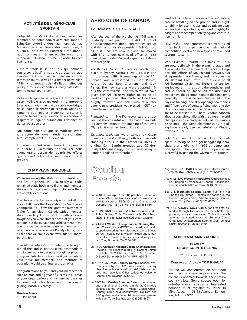#### **ACTIVITÉS DE L'AÉRO-CLUB SPORTAIR**

L'objectif que s'était donné l'an dernier les membres de notre nouvel aéro-club fondé à Saint-Gabriel-de-Brandon, au nord du lac Maskinongé et en lisière des Laurentides, à 80 km au nord-est de Montréal, a été atteint: nous sommes entrés en activité avec notre remorqueur Cessna 150/150 et notre biplace SGS 2-33.

C'est toutefois la saison 1989 qui donnera son essor décisif à notre club attendu que l'arrivée de l'hiver s'est ajoutée aux contretemps de toutes sortes pour limiter notre bilan 1988 à quatorze vols d'ailleurs effectués presque tous en conditions marginales d'automne et par grand vent.

L'aéro-club Sportair se prépare à la prochaine saison vélivole avec un optimisme approprié à ses atous, notamment le caractère touristique de sa région, le charme de ses installations de camping pour pilotes, plage comprise, et la sérénité bucolique qui émane d'un aérodrome respirant la légalité autant que l'absence de dettes, ou à peu pres.

Nul doute non plus que le modeste inventaire actuel de notre matériel volant s'ajustera promptement à la demande.

Entre-temps, c'est le recrutement qui prendra la priorité à I'aéro-club Sportair, car nous avons grand besoin de répartir les efforts que requiert notre lutte commune contre la gravité.

#### **CHAMPLAIN HONOURED**

When reviewing the state of our membership and SAC in general in 1988, nearly all clubs remained static both as to flights and membership which is a bit discouraging. However there are notable exceptions.

The club which obviously outperformed all others in 1988 was the Association de Vol à Voile Champlain. You flew the greatest number of flights for any club in Canada with a membership under fifty. For those clubs with only one towplane you were streets ahead of your compatriots. But the outstanding achievement to me was the percentage increase in membership which was a remark- able 41%. My oh my, if we all did that we could even lower our SAC membership fee.

It would be interesting to determine how you did all this and in particular your methods of missionary work to get potential glider pilots to join your club. An article in *free flight* describing your drive for members and methods of operation would be of interest to all of us.

Congratulations to you and your members for such an outstanding year of success in all areas of your organization and my very best wishes for continued high achievement in the coming gliding season. Fly safely.

**Gordon Bruce** SAC President

#### **AERO CLUB OF CANADA**

#### **Ed Hollestelle**, SAC rep to ACC

After the year of the big change, 1988 was a relatively quiet year for the ACC. A lot of housekeeping was done, committees set up and thanks to our able president Bob Carlson, all trust funds are now in place. We moved with SAC to our new head office at 1355 Bank Street, Suite 306, and signed a sub-lease for three years.

*The 81st FAI General Conference,* which took place in Sydney, Australia Oct 9-14, was one of the most difficult meetings of the FAI. Canada was represented by Bob Purves, André Dumas, Bob Clipsham, and Don Fisher. The new statutes were adopted minus the controversial one which would have given the FAI exclusive rights to exploit all world competitions. This matter will be thoroughly reviewed and dealt with at a later date. A new president was elected – Cliff von Kann from the USA.

*Parachuting.* The FAI recognized the success of the colourful and dramatic parachuting demonstration at the opening of the 1988 Olympic Games in Seoul, Korea.

*Tissandier Diplomas* were earned by Oscar Boesch and Walter Piercy, both for their outstanding efforts in their respective areas in gliding. Colin Bantin attended two IGC (formerly CIVV) meetings, the last one being in London, England last October.

### Coming Coming Events Events

- Jun 4-10, **XC camp**, 11-17, **XC practice,** Edmonton Soaring Club, teaching basics of XC, assistance with task-setting. BBQ 10 June. Contact Jack Despres (403) 487-7317 or Neil Bell 481-6664.
- Jun 18-24, **SAC Eastern Instructors Course** York Arthur Gliding Club. Course coach: Paul Moggach (416) 656-4282, assisted by lan Oldaker.
- Jun 24-2 Jul, **Western Interprovincial Soaring Contest,** Claresholm, all-POST, no ballast, and handicapped, exploring new rules and scoring. Should be fun – details out to western clubs and known competition pilots. Others interested may contact Tony Burton (403) 625-4563
- Jul 11-20, **Canadian National Gliding Championships,** Rockton, ON. Practice 8-10 July. Contact Helmut Buchholz, 2362 Shaver Road, RR2, Ancaster, ON L9G 3L1 (416) 5433 (H), 575-1666 (B)
- Jul 15-?, **1-26 Cross-Country Camp,** Sheridan, WY. Sponsored by the 1-26 Association. Primary objective to break existing 1-26 distance records and have fun. Other sailplanes welcome. Contact Lew Neyland, (719) 632- 1202.
- Jul 29-7 Aug, **Cowley Summer Camp,** great soaring and camping at Cowley airstrip at Canada's biggest soaring event. A Master Coach Cross-Country Clinic held concurrently. Cu Nim and ESC gliders available to visitors on arrangement with club. Terry Southwood (403) 255-4667.

*World Class glider* – the aim is low cost, safety, ease of handling on the ground and in flight, suitability for use in clubs and by private owners, for training including early solo flights, for badges and for competition flying, and construction from kits.

*POST tasks* – the representatives were asked to go back and experiment at their national competition level with new types of tasks and scoring systems.

*Icarus Games*, World Air Games for 1991, are now definitely in the planning stage and it looks like the government of France will support the efforts of Mr. Richard Fenwick, FAI vice-president for France, and his colleague Mr. Bernard Colas, who is president of all FAI Sporting disciplines. Three sites are being looked at in the south, the southeast and east-southeast of France. All the disciplines would have their competitions at the same time, generally in the same area. Suggested is five days of training, one day opening ceremonies and fifteen days of contest flying with one day closing ceremonies. All the details on rules etc. are to be worked out. There is some concern about a possible conflict with the different world championships already scheduled for various disciplines – the world championships in gliding have already been scheduled for Minden, Nevada in 1991.

Bob Clipsham (ACC official Olympic delegate) is trying hard to get hanggliding, parachuting and gliding in 1996 as demonstration sports if Henderson and his people are successful in getting the Olympics to Toronto.

- Aug (date TBA), **SAC French Instructors Course,** CW Québec, St-Raymond (613) 739-1063.
- Aug 6-12, **SAC Western Instructors Course,** Hope, BC, hosted by Vancouver Soaring Association. Course coach: Mike Apps (403) 436-9003.
- Sep 2-4, **Mountain Soaring Camp,** Fairmont Hot Springs BC airport. Spectacular soaring in the Rockies, organized by Alberta Soaring Council, contact Tony Burton (403) 625-4563.
- Oct 7-15, **Cowley Wave Camp,** for first time extended through two weekends for a better opportunity to catch the wave. Club ships available as mentioned above for Summer Camp. Organized by Edmonton Soaring Club, contact Buzz Burwash (403) 465-2394.

#### **ALBERTA SOARING COUNCIL**

#### **COWLEY CROSS-COUNTRY CLINIC**

31 JULY — 6 AUGUST

#### *Course conductor* **– TOM KNAUFF**

Course will concentrate on afternoon team flying and evening seminars. The course is oriented towards early crosscountry pilots. Some spaces open for out-of-province registrants. Interested persons must register by letter to Mike Apps, 11455 43 Avenue, Edmonton, AB T6J 0Y2.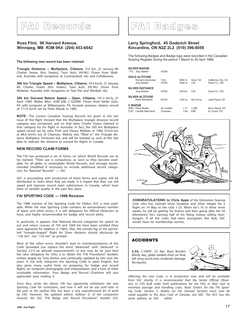## **FAI Records**

#### **Russ Flint, 96 Harvard Avenue, Winnipeg, MB R3M 0K4 (204) 453-6642**

**The following new record has been claimed:**

**Triangle Distance – Multiplace, Citizens**, 510 km, 25 January 89 Charles Yeates (Kris Yeates), Twin Astir, VH-lKU. Flown from Waikerie, Australia with turnpoints at Coomandook silo and Cullulleraine.

**300 km Triangle Speed – Multiplace, Citizens**, 79.4 km/h, 27 January 89, Charles Yeates (Kris Yeates), Twin Astir, VH-IKU. Flown from Waikerie, Australia with turnpoints at Teal Flat and Meribah silo.

**300 km Out-and Return Speed – Open, Citizens**, 191.3 km/h, 27 April 1989, Walter Weir, ASW-20B, C-GGWW. Flown from Kettle Dam, PA with turnpoint at Williamsport, PA. Exceeds previous citizens record of 171.6 km/h set by Peter Masak in 1983.

**NOTE:** The current Canadian Soaring Records list given in the last issue of *free flight* showed that the Multiplace triangle distance record category was unclaimed, and on that basis Charlie Yeates claimed in that category for his flight in Australia. In fact, the 500 km Multiplace speed record set by John Firth and Danny Webber in 1986 (510.4 km at 88.8 km/h) out of Chipman, Alberta also "filled in" the Triangle distance Multiplace Territorial slot, and will be instated as such at this late date to indicate the distance to exceed for flights in Canada.

#### **NEW RECORD CLAIM FORMS**

The FAI has produced a set of forms on which World Records are to be claimed. "Their use is compulsory, as soon as they become available, for all glider or motorglider World Records, and strongly recommended (modified if necessary to include additional record categories) for National Records" — IGC

SAC is proceeding with production of these forms and copies will be distributed to clubs when they are ready. It is hoped that their use will speed and improve record claim submissions in Canada, which have been of variable quality in the past few years.

#### **FAI SPORTING CODE — 1988 Revision**

The 1988 revision of the Sporting Code for Gliders (\$5) is now available. While the new Sporting Code contains an extraordinary number of typos and other errors, it is still obligatory for Official Observers to have, and highly recommended for badge and record pilots.

In particular, it appears that National Record categories for speed on out and return courses of 750 and 1000 km have been omitted (they were approved for addition in 1983). Also, the remote leg of the permitted "triangle-shaped" flight for Silver distance should obviously be ">50 km", not "<50 km" as printed.

Most of the other errors shouldn't lead to misinterpretations of the Code (provided you replace the word "deducted" with "deduced" in Section 2.2.9 on altitude measurement!). In any case, by far your best bet (also obligatory for OOs) is to obtain the "FAI Procedures" booklet, written largely by Tony Burton and continually updated by him over the years. It not only interprets the Sporting Code in plain English, but also gives many useful hints on preparing for badge and record flights, on turnpoint photography and interpretation, and a host of other invaluable information. Your Badge and Record Chairmen will also appreciate your reading it.

*Since Russ wrote the above, FAI has apparently withdrawn the new Sporting Code for corrections, and now it will not be out until later in the year at the earliest (this has been a very unprofessional bit of work by FAI). However, the updated edition (Edition 5) of the companion manual, the SAC "FAI Badge and Record Procedures" booklet (\$5),*

### **FAI Badges**

#### **Larry Springford, 45 Goderich Street Kincardine, ON N2Z 2L2 (519) 396-8059**

The following Badges and Badge legs were recorded in the Canadian Soaring Register during the period 1 March to 30 April 1989.

| <b>SILVER BADGE</b><br>Jörg Stieber<br>772                        | <b>SOSA</b>            |                  |                   |                                      |
|-------------------------------------------------------------------|------------------------|------------------|-------------------|--------------------------------------|
| <b>GOLD ALTITUDE</b><br><b>Richard Grocholski</b><br>Jörg Stieber | York<br><b>SOSA</b>    | 4940 m<br>3400 m | Grob 102<br>LS4   | California City, CA<br>Grant Co., WV |
| <b>SILVER DISTANCE</b><br>Jörg Stieber                            | <b>SOSA</b>            | 236 km           | LS4               | Grant Co., WV                        |
| <b>SILVER ALTITUDE</b><br>Peter Whitworth                         | <b>RVSS</b>            | 1340 m           | <b>Std Cirrus</b> | Lake Placid, NY                      |
| <b>C BADGE</b><br>2084 Peter Beatty<br>Camille Marchand<br>2167   | Air Cadets<br>Outardes | 1:17<br>1:06     | 1-26E<br>K8B      | Reno Stead, NV<br>St. Esprit, PQ     |



**CONGRATULATIONS to Chris Apps** of the Edmonton Soaring Club who has claimed Silver Duration and Silver Height for a flight on 14 May in the club 1-23. When he's 16 in three more weeks, he will be getting his licence and then going after the 50 kilometres! He's earning half of his flying money selling hamburgers. If all the clubs had keen youngsters like that, SAC would have no membership worries.

#### **ACCIDENTS**

**2-33,** C-GNPF, 23 Apr, Base Borden. Windy day, glider landed short on final, left wing struck tree, moderate damage. No injuries.



*reflecting the new Code, is in production now and will be available from SAC shortly. It is recommended that the Senior Official Observers or CFls bulk order both publications for the OOs in their club to minimize postage and handling costs. Note: Orders for the FAI Sporting Code, Section 3, Gliders (or the General Section) must now be made payable to the Aero Club of Canada, not SAC. The ACC has the same address as SAC. editor*